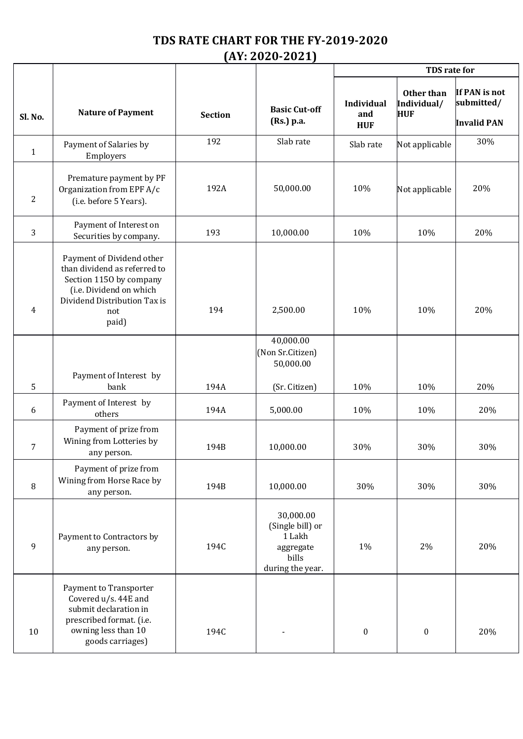## **TDS RATE CHART FOR THE FY-2019-2020 (AY: 2020-2021)**

|                |                                                                                                                                                                 |                |                                                                                   | TDS rate for                    |                                         |                                                   |
|----------------|-----------------------------------------------------------------------------------------------------------------------------------------------------------------|----------------|-----------------------------------------------------------------------------------|---------------------------------|-----------------------------------------|---------------------------------------------------|
| Sl. No.        | <b>Nature of Payment</b>                                                                                                                                        | <b>Section</b> | <b>Basic Cut-off</b><br>(Rs.) p.a.                                                | Individual<br>and<br><b>HUF</b> | Other than<br>Individual/<br><b>HUF</b> | If PAN is not<br>submitted/<br><b>Invalid PAN</b> |
| $\mathbf{1}$   | Payment of Salaries by<br>Employers                                                                                                                             | 192            | Slab rate                                                                         | Slab rate                       | Not applicable                          | 30%                                               |
| 2              | Premature payment by PF<br>Organization from EPF A/c<br>(i.e. before 5 Years).                                                                                  | 192A           | 50,000.00                                                                         | 10%                             | Not applicable                          | 20%                                               |
| 3              | Payment of Interest on<br>Securities by company.                                                                                                                | 193            | 10,000.00                                                                         | 10%                             | 10%                                     | 20%                                               |
| $\overline{4}$ | Payment of Dividend other<br>than dividend as referred to<br>Section 1150 by company<br>(i.e. Dividend on which<br>Dividend Distribution Tax is<br>not<br>paid) | 194            | 2,500.00                                                                          | 10%                             | 10%                                     | 20%                                               |
|                | Payment of Interest by                                                                                                                                          |                | 40,000.00<br>(Non Sr.Citizen)<br>50,000.00                                        |                                 |                                         |                                                   |
| 5              | bank                                                                                                                                                            | 194A           | (Sr. Citizen)                                                                     | 10%                             | 10%                                     | 20%                                               |
| 6              | Payment of Interest by<br>others                                                                                                                                | 194A           | 5,000.00                                                                          | 10%                             | 10%                                     | 20%                                               |
| 7              | Payment of prize from<br>Wining from Lotteries by<br>any person.                                                                                                | 194B           | 10,000.00                                                                         | 30%                             | 30%                                     | 30%                                               |
| 8              | Payment of prize from<br>Wining from Horse Race by<br>any person.                                                                                               | 194B           | 10,000.00                                                                         | 30%                             | 30%                                     | 30%                                               |
| 9              | Payment to Contractors by<br>any person.                                                                                                                        | 194C           | 30,000.00<br>(Single bill) or<br>1 Lakh<br>aggregate<br>bills<br>during the year. | 1%                              | 2%                                      | 20%                                               |
| 10             | Payment to Transporter<br>Covered u/s. 44E and<br>submit declaration in<br>prescribed format. (i.e.<br>owning less than 10<br>goods carriages)                  | 194C           |                                                                                   | $\boldsymbol{0}$                | $\boldsymbol{0}$                        | 20%                                               |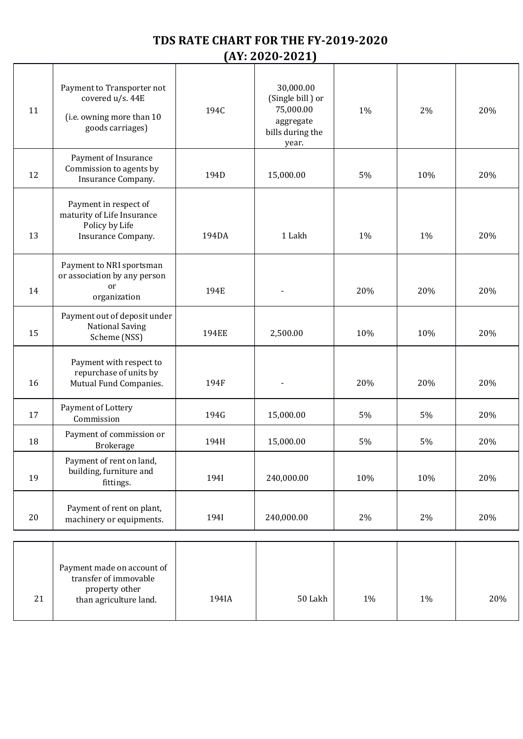## **TDS RATE CHART FOR THE FY-2019-2020 (AY: 2020-2021)**

| 11 | Payment to Transporter not<br>covered u/s. 44E<br>(i.e. owning more than 10<br>goods carriages) | 194C         | 30,000.00<br>(Single bill) or<br>75,000.00<br>aggregate<br>bills during the<br>year. | 1%    | 2%  | 20% |
|----|-------------------------------------------------------------------------------------------------|--------------|--------------------------------------------------------------------------------------|-------|-----|-----|
| 12 | Payment of Insurance<br>Commission to agents by<br>Insurance Company.                           | 194D         | 15,000.00                                                                            | 5%    | 10% | 20% |
| 13 | Payment in respect of<br>maturity of Life Insurance<br>Policy by Life<br>Insurance Company.     | 194DA        | 1 Lakh                                                                               | 1%    | 1%  | 20% |
| 14 | Payment to NRI sportsman<br>or association by any person<br>or<br>organization                  | 194E         |                                                                                      | 20%   | 20% | 20% |
| 15 | Payment out of deposit under<br><b>National Saving</b><br>Scheme (NSS)                          | <b>194EE</b> | 2,500.00                                                                             | 10%   | 10% | 20% |
| 16 | Payment with respect to<br>repurchase of units by<br>Mutual Fund Companies.                     | 194F         |                                                                                      | 20%   | 20% | 20% |
| 17 | Payment of Lottery<br>Commission                                                                | 194G         | 15,000.00                                                                            | 5%    | 5%  | 20% |
| 18 | Payment of commission or<br>Brokerage                                                           | 194H         | 15,000.00                                                                            | 5%    | 5%  | 20% |
| 19 | Payment of rent on land,<br>building, furniture and<br>fittings.                                | 194I         | 240,000.00                                                                           | 10%   | 10% | 20% |
| 20 | Payment of rent on plant,<br>machinery or equipments.                                           | 194I         | 240,000.00                                                                           | 2%    | 2%  | 20% |
| 21 | Payment made on account of<br>transfer of immovable<br>property other<br>than agriculture land. | 194IA        | 50 Lakh                                                                              | $1\%$ | 1%  | 20% |